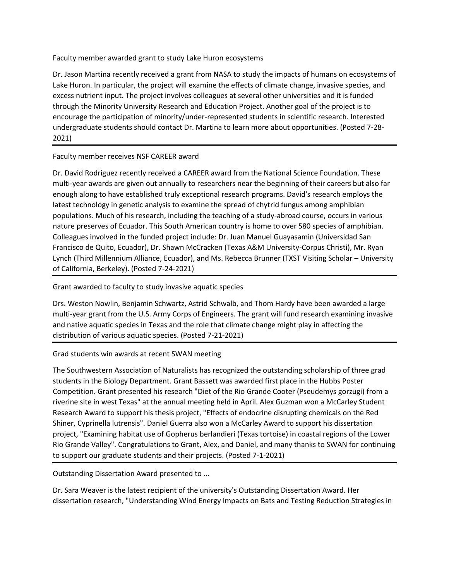Faculty member awarded grant to study Lake Huron ecosystems

Dr. Jason Martina recently received a grant from NASA to study the impacts of humans on ecosystems of Lake Huron. In particular, the project will examine the effects of climate change, invasive species, and excess nutrient input. The project involves colleagues at several other universities and it is funded through the Minority University Research and Education Project. Another goal of the project is to encourage the participation of minority/under-represented students in scientific research. Interested undergraduate students should contact Dr. Martina to learn more about opportunities. (Posted 7-28- 2021)

Faculty member receives NSF CAREER award

Dr. David Rodriguez recently received a CAREER award from the National Science Foundation. These multi-year awards are given out annually to researchers near the beginning of their careers but also far enough along to have established truly exceptional research programs. David's research employs the latest technology in genetic analysis to examine the spread of chytrid fungus among amphibian populations. Much of his research, including the teaching of a study-abroad course, occurs in various nature preserves of Ecuador. This South American country is home to over 580 species of amphibian. Colleagues involved in the funded project include: Dr. Juan Manuel Guayasamin (Universidad San Francisco de Quito, Ecuador), Dr. Shawn McCracken (Texas A&M University-Corpus Christi), Mr. Ryan Lynch (Third Millennium Alliance, Ecuador), and Ms. Rebecca Brunner (TXST Visiting Scholar – University of California, Berkeley). (Posted 7-24-2021)

Grant awarded to faculty to study invasive aquatic species

Drs. Weston Nowlin, Benjamin Schwartz, Astrid Schwalb, and Thom Hardy have been awarded a large multi-year grant from the U.S. Army Corps of Engineers. The grant will fund research examining invasive and native aquatic species in Texas and the role that climate change might play in affecting the distribution of various aquatic species. (Posted 7-21-2021)

Grad students win awards at recent SWAN meeting

The Southwestern Association of Naturalists has recognized the outstanding scholarship of three grad students in the Biology Department. Grant Bassett was awarded first place in the Hubbs Poster Competition. Grant presented his research "Diet of the Rio Grande Cooter (Pseudemys gorzugi) from a riverine site in west Texas" at the annual meeting held in April. Alex Guzman won a McCarley Student Research Award to support his thesis project, "Effects of endocrine disrupting chemicals on the Red Shiner, Cyprinella lutrensis". Daniel Guerra also won a McCarley Award to support his dissertation project, "Examining habitat use of Gopherus berlandieri (Texas tortoise) in coastal regions of the Lower Rio Grande Valley". Congratulations to Grant, Alex, and Daniel, and many thanks to SWAN for continuing to support our graduate students and their projects. (Posted 7-1-2021)

Outstanding Dissertation Award presented to ...

Dr. Sara Weaver is the latest recipient of the university's Outstanding Dissertation Award. Her dissertation research, "Understanding Wind Energy Impacts on Bats and Testing Reduction Strategies in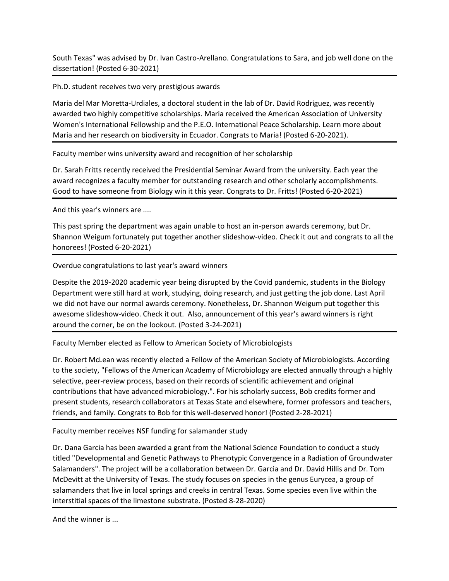South Texas" was advised by Dr. Ivan Castro-Arellano. Congratulations to Sara, and job well done on the dissertation! (Posted 6-30-2021)

Ph.D. student receives two very prestigious awards

Maria del Mar Moretta-Urdiales, a doctoral student in the lab of Dr. David Rodriguez, was recently awarded two highly competitive scholarships. Maria received the American Association of University Women's International Fellowship and the P.E.O. International Peace Scholarship. Learn more about Maria and her research on biodiversity in Ecuador. Congrats to Maria! (Posted 6-20-2021).

Faculty member wins university award and recognition of her scholarship

Dr. Sarah Fritts recently received the Presidential Seminar Award from the university. Each year the award recognizes a faculty member for outstanding research and other scholarly accomplishments. Good to have someone from Biology win it this year. Congrats to Dr. Fritts! (Posted 6-20-2021)

And this year's winners are ....

This past spring the department was again unable to host an in-person awards ceremony, but Dr. Shannon Weigum fortunately put together another slideshow-video. Check it out and congrats to all the honorees! (Posted 6-20-2021)

Overdue congratulations to last year's award winners

Despite the 2019-2020 academic year being disrupted by the Covid pandemic, students in the Biology Department were still hard at work, studying, doing research, and just getting the job done. Last April we did not have our normal awards ceremony. Nonetheless, Dr. Shannon Weigum put together this awesome slideshow-video. Check it out. Also, announcement of this year's award winners is right around the corner, be on the lookout. (Posted 3-24-2021)

Faculty Member elected as Fellow to American Society of Microbiologists

Dr. Robert McLean was recently elected a Fellow of the American Society of Microbiologists. According to the society, "Fellows of the American Academy of Microbiology are elected annually through a highly selective, peer-review process, based on their records of scientific achievement and original contributions that have advanced microbiology.". For his scholarly success, Bob credits former and present students, research collaborators at Texas State and elsewhere, former professors and teachers, friends, and family. Congrats to Bob for this well-deserved honor! (Posted 2-28-2021)

Faculty member receives NSF funding for salamander study

Dr. Dana Garcia has been awarded a grant from the National Science Foundation to conduct a study titled "Developmental and Genetic Pathways to Phenotypic Convergence in a Radiation of Groundwater Salamanders". The project will be a collaboration between Dr. Garcia and Dr. David Hillis and Dr. Tom McDevitt at the University of Texas. The study focuses on species in the genus Eurycea, a group of salamanders that live in local springs and creeks in central Texas. Some species even live within the interstitial spaces of the limestone substrate. (Posted 8-28-2020)

And the winner is ...